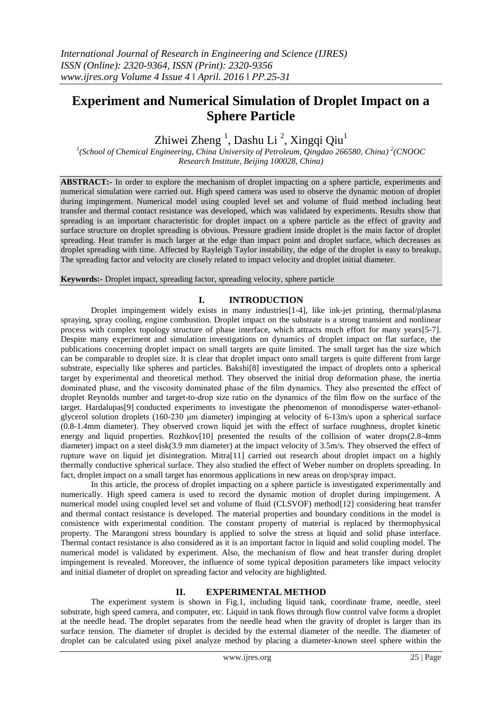# **Experiment and Numerical Simulation of Droplet Impact on a Sphere Particle**

Zhiwei Zheng  $^1$ , Dashu Li  $^2$ , Xingqi Qiu $^1$ 

<sup>1</sup>(School of Chemical Engineering, China University of Petroleum, Qingdao 266580, China)<sup>2</sup>(CNOOC *Research Institute, Beijing 100028, China)*

**ABSTRACT:-** In order to explore the mechanism of droplet impacting on a sphere particle, experiments and numerical simulation were carried out. High speed camera was used to observe the dynamic motion of droplet during impingement. Numerical model using coupled level set and volume of fluid method including heat transfer and thermal contact resistance was developed, which was validated by experiments. Results show that spreading is an important characteristic for droplet impact on a sphere particle as the effect of gravity and surface structure on droplet spreading is obvious. Pressure gradient inside droplet is the main factor of droplet spreading. Heat transfer is much larger at the edge than impact point and droplet surface, which decreases as droplet spreading with time. Affected by Rayleigh Taylor instability, the edge of the droplet is easy to breakup. The spreading factor and velocity are closely related to impact velocity and droplet initial diameter.

**Keywords:-** Droplet impact, spreading factor, spreading velocity, sphere particle

# **I. INTRODUCTION**

Droplet impingement widely exists in many industries[1-4], like ink-jet printing, thermal/plasma spraying, spray cooling, engine combustion. Droplet impact on the substrate is a strong transient and nonlinear process with complex topology structure of phase interface, which attracts much effort for many years[5-7]. Despite many experiment and simulation investigations on dynamics of droplet impact on flat surface, the publications concerning droplet impact on small targets are quite limited. The small target has the size which can be comparable to droplet size. It is clear that droplet impact onto small targets is quite different from large substrate, especially like spheres and particles. Bakshi[8] investigated the impact of droplets onto a spherical target by experimental and theoretical method. They observed the initial drop deformation phase, the inertia dominated phase, and the viscosity dominated phase of the film dynamics. They also presented the effect of droplet Reynolds number and target-to-drop size ratio on the dynamics of the film flow on the surface of the target. Hardalupas[9] conducted experiments to investigate the phenomenon of monodisperse water-ethanolglycerol solution droplets (160-230 μm diameter) impinging at velocity of 6-13m/s upon a spherical surface (0.8-1.4mm diameter). They observed crown liquid jet with the effect of surface roughness, droplet kinetic energy and liquid properties. Rozhkov[10] presented the results of the collision of water drops(2.8-4mm diameter) impact on a steel disk(3.9 mm diameter) at the impact velocity of 3.5m/s. They observed the effect of rupture wave on liquid jet disintegration. Mitra[11] carried out research about droplet impact on a highly thermally conductive spherical surface. They also studied the effect of Weber number on droplets spreading. In fact, droplet impact on a small target has enormous applications in new areas on drop/spray impact.

In this article, the process of droplet impacting on a sphere particle is investigated experimentally and numerically. High speed camera is used to record the dynamic motion of droplet during impingement. A numerical model using coupled level set and volume of fluid (CLSVOF) method[12] considering heat transfer and thermal contact resistance is developed. The material properties and boundary conditions in the model is consistence with experimental condition. The constant property of material is replaced by thermophysical property. The Marangoni stress boundary is applied to solve the stress at liquid and solid phase interface. Thermal contact resistance is also considered as it is an important factor in liquid and solid coupling model. The numerical model is validated by experiment. Also, the mechanism of flow and heat transfer during droplet impingement is revealed. Moreover, the influence of some typical deposition parameters like impact velocity and initial diameter of droplet on spreading factor and velocity are highlighted.

# **II. EXPERIMENTAL METHOD**

The experiment system is shown in Fig.1, including liquid tank, coordinate frame, needle, steel substrate, high speed camera, and computer, etc. Liquid in tank flows through flow control valve forms a droplet at the needle head. The droplet separates from the needle head when the gravity of droplet is larger than its surface tension. The diameter of droplet is decided by the external diameter of the needle. The diameter of droplet can be calculated using pixel analyze method by placing a diameter-known steel sphere within the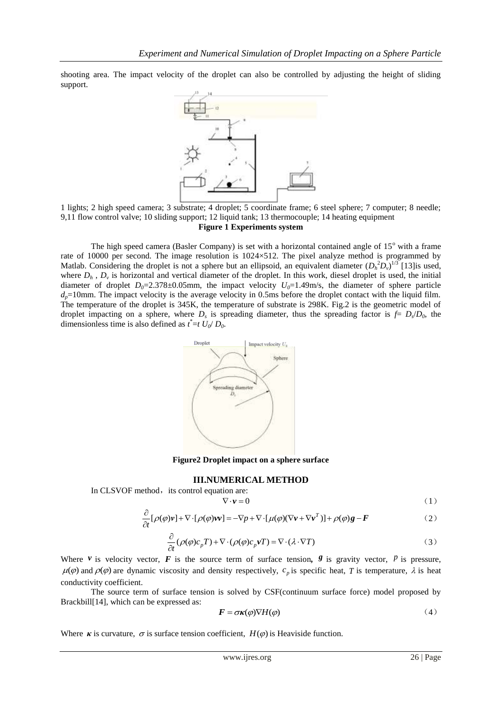shooting area. The impact velocity of the droplet can also be controlled by adjusting the height of sliding support.



1 lights; 2 high speed camera; 3 substrate; 4 droplet; 5 coordinate frame; 6 steel sphere; 7 computer; 8 needle; 9,11 flow control valve; 10 sliding support; 12 liquid tank; 13 thermocouple; 14 heating equipment **Figure 1 Experiments system**

The high speed camera (Basler Company) is set with a horizontal contained angle of  $15^{\circ}$  with a frame rate of 10000 per second. The image resolution is 1024×512. The pixel analyze method is programmed by Matlab. Considering the droplet is not a sphere but an ellipsoid, an equivalent diameter  $(D_h^2 D_v)^{1/3}$  [13] is used, where  $D_h$ ,  $D_v$  is horizontal and vertical diameter of the droplet. In this work, diesel droplet is used, the initial diameter of droplet  $D_0=2.378\pm0.05$ mm, the impact velocity  $U_0=1.49$ m/s, the diameter of sphere particle  $d_p$ =10mm. The impact velocity is the average velocity in 0.5ms before the droplet contact with the liquid film. The temperature of the droplet is 345K, the temperature of substrate is 298K. Fig.2 is the geometric model of droplet impacting on a sphere, where  $D_s$  is spreading diameter, thus the spreading factor is  $f = D_s/D_0$ , the dimensionless time is also defined as  $t^* = t U_0/D_0$ .



**Figure2 Droplet impact on a sphere surface**

#### **III.NUMERICAL METHOD**

In CLSVOF method, its control equation are:

 $\nabla \cdot \mathbf{v} = 0$  (1)

$$
\nabla \cdot \mathbf{v} = 0
$$
\n
$$
\frac{\partial}{\partial t} [\rho(\varphi)\mathbf{v}] + \nabla \cdot [\rho(\varphi)\mathbf{v}\mathbf{v}] = -\nabla p + \nabla \cdot [\mu(\varphi)(\nabla \mathbf{v} + \nabla \mathbf{v}^T)] + \rho(\varphi)\mathbf{g} - \mathbf{F}
$$
\n(1)

$$
\frac{\partial}{\partial t} (\rho(\varphi)c_p T) + \nabla \cdot (\rho(\varphi)c_p \mathbf{v} T) = \nabla \cdot (\lambda \cdot \nabla T)
$$
\n(3)

Where  $\nu$  is velocity vector,  $\vec{F}$  is the source term of surface tension,  $\vec{s}$  is gravity vector,  $\vec{P}$  is pressure,  $\mu$ ( $\varphi$ ) and  $\rho$ ( $\varphi$ ) are dynamic viscosity and density respectively,  $c_p$  is specific heat, T is temperature,  $\lambda$  is heat conductivity coefficient.

The source term of surface tension is solved by CSF(continuum surface force) model proposed by Brackbill[14], which can be expressed as:

$$
\boldsymbol{F} = \boldsymbol{\sigma}\boldsymbol{\kappa}(\varphi)\nabla H(\varphi) \tag{4}
$$

Where  $\kappa$  is curvature,  $\sigma$  is surface tension coefficient,  $H(\varphi)$  is Heaviside function.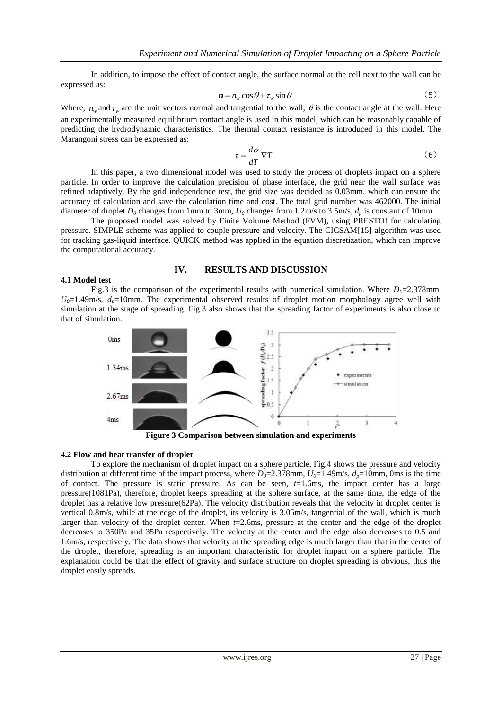In addition, to impose the effect of contact angle, the surface normal at the cell next to the wall can be expressed as:

$$
\mathbf{n} = n_w \cos \theta + \tau_w \sin \theta \tag{5}
$$

Where,  $n_w$  and  $\tau_w$  are the unit vectors normal and tangential to the wall,  $\theta$  is the contact angle at the wall. Here an experimentally measured equilibrium contact angle is used in this model, which can be reasonably capable of predicting the hydrodynamic characteristics. The thermal contact resistance is introduced in this model. The Marangoni stress can be expressed as:

$$
\tau = \frac{d\sigma}{dT} \nabla T \tag{6}
$$

In this paper, a two dimensional model was used to study the process of droplets impact on a sphere particle. In order to improve the calculation precision of phase interface, the grid near the wall surface was refined adaptively. By the grid independence test, the grid size was decided as 0.03mm, which can ensure the accuracy of calculation and save the calculation time and cost. The total grid number was 462000. The initial diameter of droplet  $D_0$  changes from 1mm to 3mm,  $U_0$  changes from 1.2m/s to 3.5m/s,  $d_n$  is constant of 10mm.

The proposed model was solved by Finite Volume Method (FVM), using PRESTO! for calculating pressure. SIMPLE scheme was applied to couple pressure and velocity. The CICSAM[15] algorithm was used for tracking gas-liquid interface. QUICK method was applied in the equation discretization, which can improve the computational accuracy.

#### **IV. RESULTS AND DISCUSSION**

#### **4.1 Model test**

Fig.3 is the comparison of the experimental results with numerical simulation. Where  $D_0=2.378$ mm,  $U_0$ =1.49m/s,  $d_p$ =10mm. The experimental observed results of droplet motion morphology agree well with simulation at the stage of spreading. Fig.3 also shows that the spreading factor of experiments is also close to that of simulation.



#### **4.2 Flow and heat transfer of droplet**

To explore the mechanism of droplet impact on a sphere particle, Fig.4 shows the pressure and velocity distribution at different time of the impact process, where  $D_0=2.378$  mm,  $U_0=1.49$  m/s,  $d_p=10$  mm, 0ms is the time of contact. The pressure is static pressure. As can be seen, *t*=1.6ms, the impact center has a large pressure(1081Pa), therefore, droplet keeps spreading at the sphere surface, at the same time, the edge of the droplet has a relative low pressure(62Pa). The velocity distribution reveals that the velocity in droplet center is vertical 0.8m/s, while at the edge of the droplet, its velocity is 3.05m/s, tangential of the wall, which is much larger than velocity of the droplet center. When *t*=2.6ms, pressure at the center and the edge of the droplet decreases to 350Pa and 35Pa respectively. The velocity at the center and the edge also decreases to 0.5 and 1.6m/s, respectively. The data shows that velocity at the spreading edge is much larger than that in the center of the droplet, therefore, spreading is an important characteristic for droplet impact on a sphere particle. The explanation could be that the effect of gravity and surface structure on droplet spreading is obvious, thus the droplet easily spreads.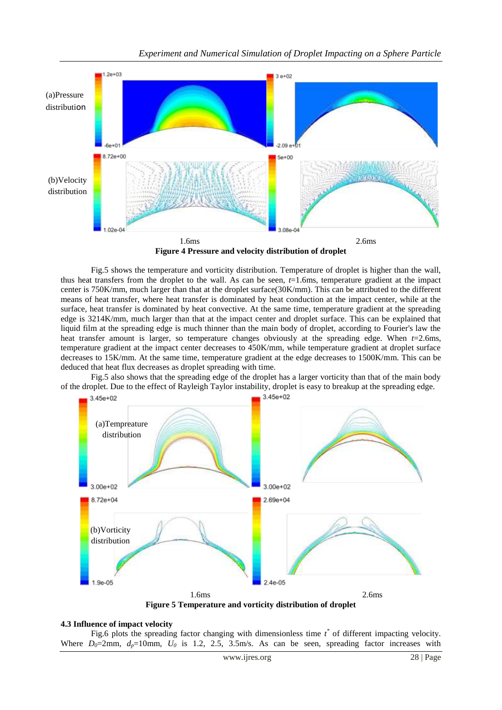

**Figure 4 Pressure and velocity distribution of droplet**

Fig.5 shows the temperature and vorticity distribution. Temperature of droplet is higher than the wall, thus heat transfers from the droplet to the wall. As can be seen, *t*=1.6ms, temperature gradient at the impact center is 750K/mm, much larger than that at the droplet surface(30K/mm). This can be attributed to the different means of heat transfer, where heat transfer is dominated by heat conduction at the impact center, while at the surface, heat transfer is dominated by heat convective. At the same time, temperature gradient at the spreading edge is 3214K/mm, much larger than that at the impact center and droplet surface. This can be explained that liquid film at the spreading edge is much thinner than the main body of droplet, according to Fourier's law the heat transfer amount is larger, so temperature changes obviously at the spreading edge. When *t*=2.6ms, temperature gradient at the impact center decreases to 450K/mm, while temperature gradient at droplet surface decreases to 15K/mm. At the same time, temperature gradient at the edge decreases to 1500K/mm. This can be deduced that heat flux decreases as droplet spreading with time.

Fig.5 also shows that the spreading edge of the droplet has a larger vorticity than that of the main body of the droplet. Due to the effect of Rayleigh Taylor instability, droplet is easy to breakup at the spreading edge.



**Figure 5 Temperature and vorticity distribution of droplet**

# **4.3 Influence of impact velocity**

Fig.6 plots the spreading factor changing with dimensionless time  $t^*$  of different impacting velocity. Where  $D_0=2$ mm,  $d_p=10$ mm,  $U_0$  is 1.2, 2.5, 3.5m/s. As can be seen, spreading factor increases with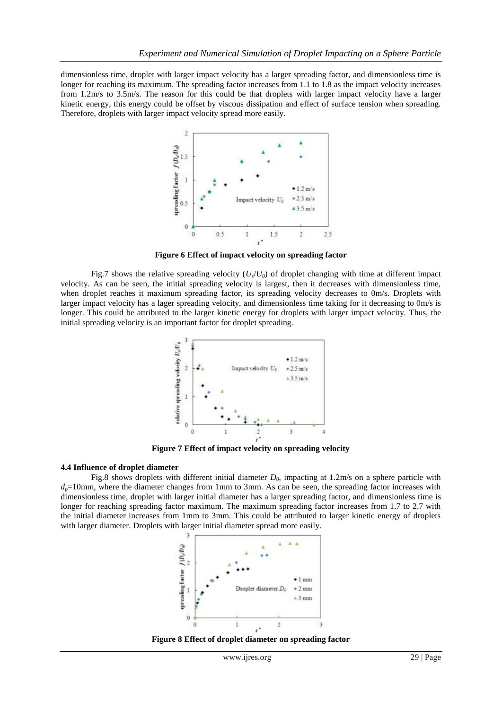dimensionless time, droplet with larger impact velocity has a larger spreading factor, and dimensionless time is longer for reaching its maximum. The spreading factor increases from 1.1 to 1.8 as the impact velocity increases from 1.2m/s to 3.5m/s. The reason for this could be that droplets with larger impact velocity have a larger kinetic energy, this energy could be offset by viscous dissipation and effect of surface tension when spreading. Therefore, droplets with larger impact velocity spread more easily.



**Figure 6 Effect of impact velocity on spreading factor**

Fig.7 shows the relative spreading velocity  $(U_s/U_0)$  of droplet changing with time at different impact velocity. As can be seen, the initial spreading velocity is largest, then it decreases with dimensionless time, when droplet reaches it maximum spreading factor, its spreading velocity decreases to 0m/s. Droplets with larger impact velocity has a lager spreading velocity, and dimensionless time taking for it decreasing to 0m/s is longer. This could be attributed to the larger kinetic energy for droplets with larger impact velocity. Thus, the initial spreading velocity is an important factor for droplet spreading.



**Figure 7 Effect of impact velocity on spreading velocity**

#### **4.4 Influence of droplet diameter**

Fig.8 shows droplets with different initial diameter *D0*, impacting at 1.2m/s on a sphere particle with  $d_p=10$ mm, where the diameter changes from 1mm to 3mm. As can be seen, the spreading factor increases with dimensionless time, droplet with larger initial diameter has a larger spreading factor, and dimensionless time is longer for reaching spreading factor maximum. The maximum spreading factor increases from 1.7 to 2.7 with the initial diameter increases from 1mm to 3mm. This could be attributed to larger kinetic energy of droplets with larger diameter. Droplets with larger initial diameter spread more easily.



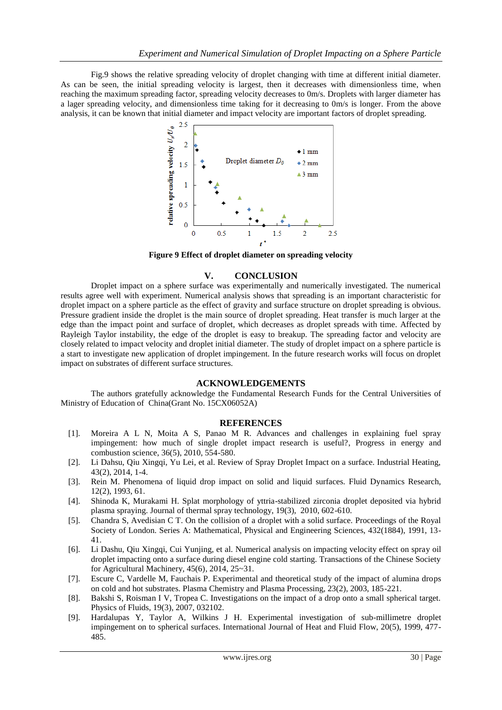Fig.9 shows the relative spreading velocity of droplet changing with time at different initial diameter. As can be seen, the initial spreading velocity is largest, then it decreases with dimensionless time, when reaching the maximum spreading factor, spreading velocity decreases to 0m/s. Droplets with larger diameter has a lager spreading velocity, and dimensionless time taking for it decreasing to 0m/s is longer. From the above analysis, it can be known that initial diameter and impact velocity are important factors of droplet spreading.



**Figure 9 Effect of droplet diameter on spreading velocity**

# **V. CONCLUSION**

Droplet impact on a sphere surface was experimentally and numerically investigated. The numerical results agree well with experiment. Numerical analysis shows that spreading is an important characteristic for droplet impact on a sphere particle as the effect of gravity and surface structure on droplet spreading is obvious. Pressure gradient inside the droplet is the main source of droplet spreading. Heat transfer is much larger at the edge than the impact point and surface of droplet, which decreases as droplet spreads with time. Affected by Rayleigh Taylor instability, the edge of the droplet is easy to breakup. The spreading factor and velocity are closely related to impact velocity and droplet initial diameter. The study of droplet impact on a sphere particle is a start to investigate new application of droplet impingement. In the future research works will focus on droplet impact on substrates of different surface structures.

# **ACKNOWLEDGEMENTS**

The authors gratefully acknowledge the Fundamental Research Funds for the Central Universities of Ministry of Education of China(Grant No. 15CX06052A)

# **REFERENCES**

- [1]. Moreira A L N, Moita A S, Panao M R. Advances and challenges in explaining fuel spray impingement: how much of single droplet impact research is useful?, Progress in energy and combustion science, 36(5), 2010, 554-580.
- [2]. Li Dahsu, Qiu Xingqi, Yu Lei, et al. Review of Spray Droplet Impact on a surface. Industrial Heating, 43(2), 2014, 1-4.
- [3]. Rein M. Phenomena of liquid drop impact on solid and liquid surfaces. Fluid Dynamics Research, 12(2), 1993, 61.
- [4]. Shinoda K, Murakami H. Splat morphology of yttria-stabilized zirconia droplet deposited via hybrid plasma spraying. Journal of thermal spray technology, 19(3), 2010, 602-610.
- [5]. Chandra S, Avedisian C T. On the collision of a droplet with a solid surface. Proceedings of the Royal Society of London. Series A: Mathematical, Physical and Engineering Sciences, 432(1884), 1991, 13- 41.
- [6]. Li Dashu, Qiu Xingqi, Cui Yunjing, et al. Numerical analysis on impacting velocity effect on spray oil droplet impacting onto a surface during diesel engine cold starting. Transactions of the Chinese Society for Agricultural Machinery, 45(6), 2014, 25~31.
- [7]. Escure C, Vardelle M, Fauchais P. Experimental and theoretical study of the impact of alumina drops on cold and hot substrates. Plasma Chemistry and Plasma Processing, 23(2), 2003, 185-221.
- [8]. Bakshi S, Roisman I V, Tropea C. Investigations on the impact of a drop onto a small spherical target. Physics of Fluids, 19(3), 2007, 032102.
- [9]. Hardalupas Y, Taylor A, Wilkins J H. Experimental investigation of sub-millimetre droplet impingement on to spherical surfaces. International Journal of Heat and Fluid Flow, 20(5), 1999, 477- 485.